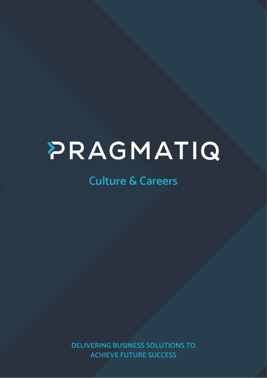# PRAGMATIQ

# **Culture & Careers**

**DELIVERING BUSINESS SOLUTIONS TO ACHIEVE FUTURE SUCCESS**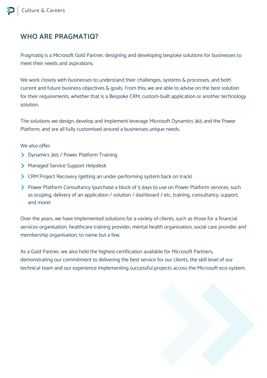# **WHO ARE PRAGMATIQ?**

Pragmatiq is a Microsoft Gold Partner, designing and developing bespoke solutions for businesses to meet their needs and aspirations.

We work closely with businesses to understand their challenges, systems & processes, and both current and future business objectives & goals. From this, we are able to advise on the best solution for their requirements, whether that is a Bespoke CRM, custom-built application or another technology solution.

The solutions we design, develop and implement leverage Microsoft Dynamics 365 and the Power Platform, and are all fully customised around a businesses unique needs.

We also offer:

- > Dynamics 365 / Power Platform Training
- Managed Service Support Helpdesk
- CRM Project Recovery (getting an under-performing system back on track)
- Power Platform Consultancy (purchase a block of 5 days to use on Power Platform services, such as scoping, delivery of an application / solution / dashboard / etc, training, consultancy, support, and more)

Over the years, we have implemented solutions for a variety of clients, such as those for a financial services organisation, healthcare training provider, mental health organisation, social care provider and membership organisation, to name but a few.

As a Gold Partner, we also hold the highest certification available for Microsoft Partners, demonstrating our commitment to delivering the best service for our clients, the skill level of our technical team and our experience implementing successful projects across the Microsoft eco-system.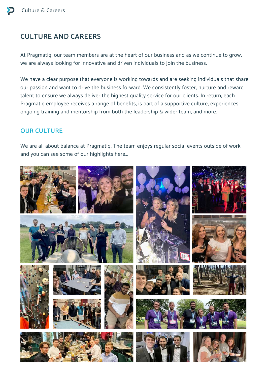# **CULTURE AND CAREERS**

At Pragmatiq, our team members are at the heart of our business and as we continue to grow, we are always looking for innovative and driven individuals to join the business.

We have a clear purpose that everyone is working towards and are seeking individuals that share our passion and want to drive the business forward. We consistently foster, nurture and reward talent to ensure we always deliver the highest quality service for our clients. In return, each Pragmatiq employee receives a range of benefits, is part of a supportive culture, experiences ongoing training and mentorship from both the leadership & wider team, and more.

#### **OUR CULTURE**

We are all about balance at Pragmatiq. The team enjoys regular social events outside of work and you can see some of our highlights here…

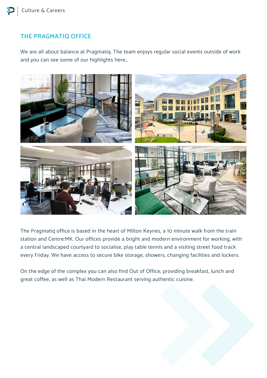## **THE PRAGMATIQ OFFICE**

We are all about balance at Pragmatiq. The team enjoys regular social events outside of work and you can see some of our highlights here…



The Pragmatiq office is based in the heart of Milton Keynes, a 10 minute walk from the train station and Centre:MK. Our offices provide a bright and modern environment for working, with a central landscaped courtyard to socialise, play table tennis and a visiting street food track every Friday. We have access to secure bike storage, showers, changing facilities and lockers.

On the edge of the complex you can also find Out of Office, providing breakfast, lunch and great coffee, as well as Thai Modern Restaurant serving authentic cuisine.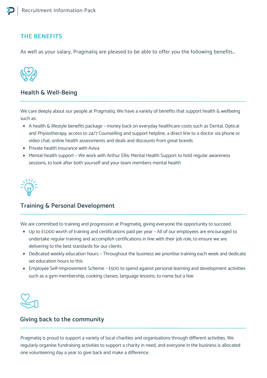#### **THE BENEFITS**

As well as your salary, Pragmatiq are pleased to be able to offer you the following benefits…



#### **Health & Well-Being**

We care deeply about our people at Pragmatiq. We have a variety of benefits that support health & wellbeing such as:

- A health & lifestyle benefits package money back on everyday healthcare costs such as Dental, Optical and Physiotherapy, access to 24/7 Counselling and support helpline, a direct line to a doctor via phone or video chat, online health assessments and deals and discounts from great brands
- Private health insurance with Aviva
- Mental-health support We work with Arthur Ellis: Mental Health Support to hold regular awareness sessions, to look after both yourself and your team members mental health

#### **Training & Personal Development**

We are committed to training and progression at Pragmatiq, giving everyone the opportunity to succeed.

- Up to £1,000 worth of training and certifications paid per year All of our employees are encouraged to undertake regular training and accomplish certifications in line with their job role, to ensure we are delivering to the best standards for our clients
- Dedicated weekly education hours Throughout the business we prioritise training each week and dedicate set education hours to this
- Employee Self-Improvement Scheme £500 to spend against personal learning and development activities such as a gym membership, cooking classes, language lessons, to name but a few



#### **Giving back to the community**

Pragmatiq is proud to support a variety of local charities and organisations through different activities. We regularly organise fundraising activities to support a charity in need, and everyone in the business is allocated one volunteering day a year to give back and make a difference.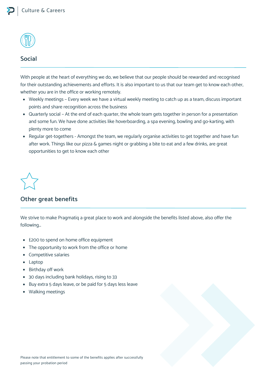

#### **Social**

With people at the heart of everything we do, we believe that our people should be rewarded and recognised for their outstanding achievements and efforts. It is also important to us that our team get to know each other, whether you are in the office or working remotely.

- Weekly meetings Every week we have a virtual weekly meeting to catch up as a team, discuss important points and share recognition across the business
- Quarterly social At the end of each quarter, the whole team gets together in person for a presentation and some fun. We have done activities like hoverboarding, a spa evening, bowling and go-karting, with plenty more to come
- Regular get-togethers Amongst the team, we regularly organise activities to get together and have fun after work. Things like our pizza & games night or grabbing a bite to eat and a few drinks, are great opportunities to get to know each other

#### **Other great benefits**

We strive to make Pragmatiq a great place to work and alongside the benefits listed above, also offer the following…

- £200 to spend on home office equipment
- The opportunity to work from the office or home
- Competitive salaries
- Laptop
- Birthday off work
- 30 days including bank holidays, rising to 33
- Buy extra 5 days leave, or be paid for 5 days less leave
- Walking meetings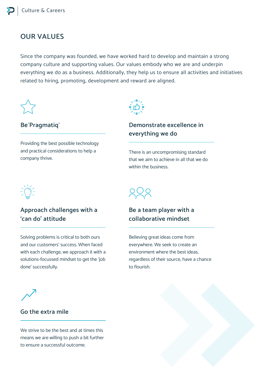# **OUR VALUES**

Since the company was founded, we have worked hard to develop and maintain a strong company culture and supporting values. Our values embody who we are and underpin everything we do as a business. Additionally, they help us to ensure all activities and initiatives related to hiring, promoting, development and reward are aligned.



#### **Be'Pragmatiq'**

Providing the best possible technology and practical considerations to help a company thrive.



#### **Demonstrate excellence in everything we do**

There is an uncompromising standard that we aim to achieve in all that we do within the business.



## **Approach challenges with a 'can do' attitude**

Solving problems is critical to both ours and our customers' success. When faced with each challenge, we approach it with a solutions-focussed mindset to get the 'job done' successfully.



#### **Be a team player with a collaborative mindset**

Believing great ideas come from everywhere. We seek to create an environment where the best ideas, regardless of their source, have a chance to flourish.



#### **Go the extra mile**

We strive to be the best and at times this means we are willing to push a bit further to ensure a successful outcome.

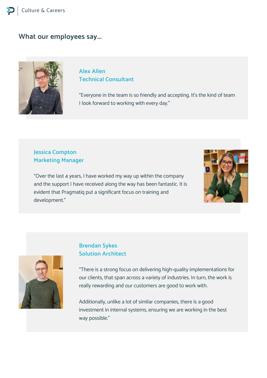#### **What our employees say...**



#### **Alex Allen Technical Consultant**

"Everyone in the team is so friendly and accepting. It's the kind of team I look forward to working with every day."

#### **Jessica Compton Marketing Manager**

"Over the last 4 years, I have worked my way up within the company and the support I have received along the way has been fantastic. It is evident that Pragmatiq put a significant focus on training and development."





### **Brendan Sykes Solution Architect**

"There is a strong focus on delivering high-quality implementations for our clients, that span across a variety of industries. In turn, the work is really rewarding and our customers are good to work with.

Additionally, unlike a lot of similar companies, there is a good investment in internal systems, ensuring we are working in the best way possible."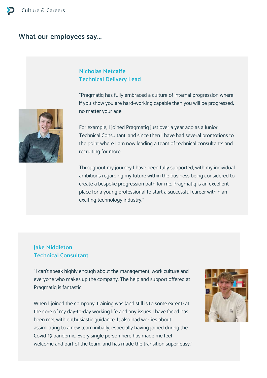#### **What our employees say...**

#### **Nicholas Metcalfe Technical Delivery Lead**

"Pragmatiq has fully embraced a culture of internal progression where if you show you are hard-working capable then you will be progressed, no matter your age.

For example, I joined Pragmatiq just over a year ago as a Junior Technical Consultant, and since then I have had several promotions to the point where I am now leading a team of technical consultants and recruiting for more.

Throughout my journey I have been fully supported, with my individual ambitions regarding my future within the business being considered to create a bespoke progression path for me. Pragmatiq is an excellent place for a young professional to start a successful career within an exciting technology industry."

#### **Jake Middleton Technical Consultant**

"I can't speak highly enough about the management, work culture and everyone who makes up the company. The help and support offered at Pragmatiq is fantastic.

When I joined the company, training was (and still is to some extent) at the core of my day-to-day working life and any issues I have faced has been met with enthusiastic guidance. It also had worries about assimilating to a new team initially, especially having joined during the Covid-19 pandemic. Every single person here has made me feel welcome and part of the team, and has made the transition super-easy."